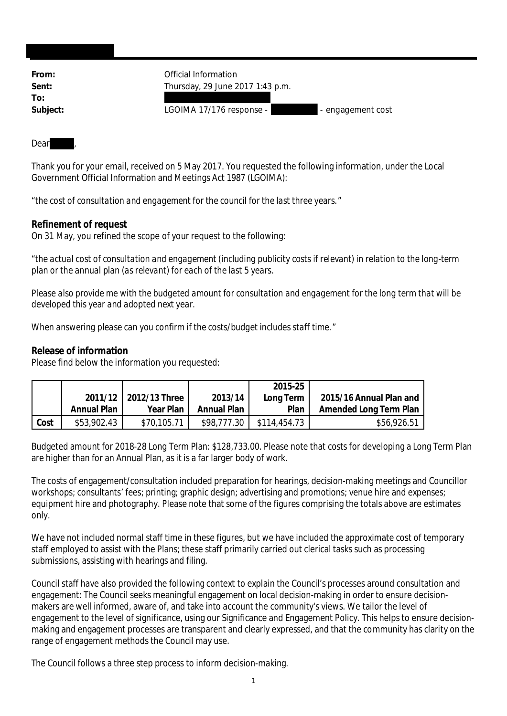| From:    | Official Information                          |  |  |  |
|----------|-----------------------------------------------|--|--|--|
| Sent:    | Thursday, 29 June 2017 1:43 p.m.              |  |  |  |
| To:      |                                               |  |  |  |
| Subject: | LGOIMA 17/176 response -<br>- engagement cost |  |  |  |

## Dear

Thank you for your email, received on 5 May 2017. You requested the following information, under the Local Government Official Information and Meetings Act 1987 (LGOIMA):

"*the cost of consultation and engagement for the council for the last three years.*"

## **Refinement of request**

On 31 May, you refined the scope of your request to the following:

"*the actual cost of consultation and engagement (including publicity costs if relevant) in relation to the long-term plan or the annual plan (as relevant) for each of the last 5 years.*

*Please also provide me with the budgeted amount for consultation and engagement for the long term that will be developed this year and adopted next year.*

*When answering please can you confirm if the costs/budget includes staff time.*"

**Release of information**

Please find below the information you requested:

|      |             |                       |             | 2015-25      |                         |
|------|-------------|-----------------------|-------------|--------------|-------------------------|
|      |             | 2011/12 2012/13 Three | 2013/14     | Long Term    | 2015/16 Annual Plan and |
|      | Annual Plan | Year Plan             | Annual Plan | Plan         | Amended Long Term Plan  |
| Cost | \$53,902.43 | \$70,105.71           | \$98,777.30 | \$114,454.73 | \$56,926.51             |

Budgeted amount for 2018-28 Long Term Plan: \$128,733.00. Please note that costs for developing a Long Term Plan are higher than for an Annual Plan, as it is a far larger body of work.

The costs of engagement/consultation included preparation for hearings, decision-making meetings and Councillor workshops; consultants' fees; printing; graphic design; advertising and promotions; venue hire and expenses; equipment hire and photography. Please note that some of the figures comprising the totals above are estimates only.

We have not included normal staff time in these figures, but we have included the approximate cost of temporary staff employed to assist with the Plans; these staff primarily carried out clerical tasks such as processing submissions, assisting with hearings and filing.

Council staff have also provided the following context to explain the Council's processes around consultation and engagement: The Council seeks meaningful engagement on local decision-making in order to ensure decisionmakers are well informed, aware of, and take into account the community's views. We tailor the level of engagement to the level of significance, using our Significance and Engagement Policy. This helps to ensure decisionmaking and engagement processes are transparent and clearly expressed, and that the community has clarity on the range of engagement methods the Council may use.

The Council follows a three step process to inform decision-making.